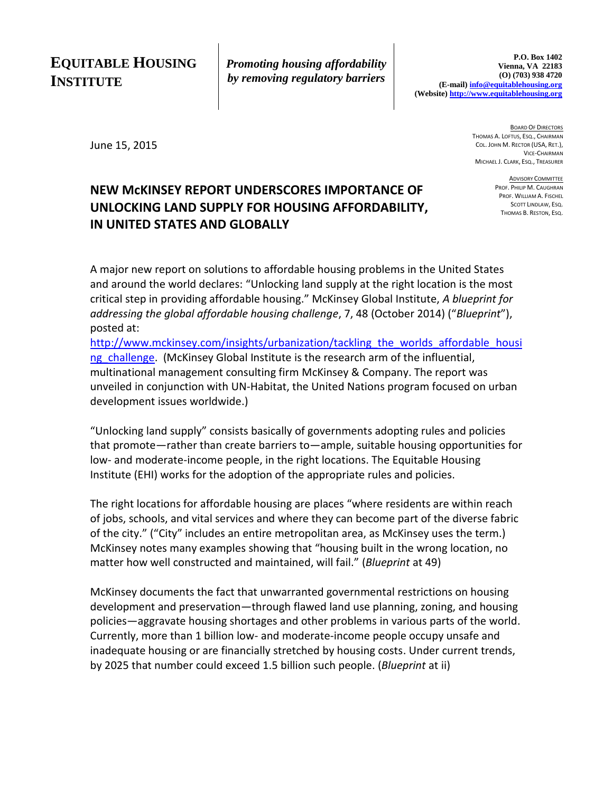# **EQUITABLE HOUSING INSTITUTE**

*Promoting housing affordability by removing regulatory barriers*

June 15, 2015

BOARD OF DIRECTORS THOMAS A. LOFTUS, ESQ., CHAIRMAN COL. JOHN M. RECTOR (USA, RET.), VICE-CHAIRMAN MICHAEL J. CLARK, ESQ., TREASURER

> **ADVISORY COMMITTEE** PROF. PHILIP M. CAUGHRAN PROF. WILLIAM A. FISCHEL SCOTT LINDLAW, ESQ. THOMAS B. RESTON, ESQ.

### **NEW McKINSEY REPORT UNDERSCORES IMPORTANCE OF UNLOCKING LAND SUPPLY FOR HOUSING AFFORDABILITY, IN UNITED STATES AND GLOBALLY**

A major new report on solutions to affordable housing problems in the United States and around the world declares: "Unlocking land supply at the right location is the most critical step in providing affordable housing." McKinsey Global Institute, *A blueprint for addressing the global affordable housing challenge*, 7, 48 (October 2014) ("*Blueprint*"), posted at:

http://www.mckinsey.com/insights/urbanization/tackling the worlds affordable housi ng challenge. (McKinsey Global Institute is the research arm of the influential, multinational management consulting firm McKinsey & Company. The report was unveiled in conjunction with UN-Habitat, the United Nations program focused on urban development issues worldwide.)

"Unlocking land supply" consists basically of governments adopting rules and policies that promote—rather than create barriers to—ample, suitable housing opportunities for low- and moderate-income people, in the right locations. The Equitable Housing Institute (EHI) works for the adoption of the appropriate rules and policies.

The right locations for affordable housing are places "where residents are within reach of jobs, schools, and vital services and where they can become part of the diverse fabric of the city." ("City" includes an entire metropolitan area, as McKinsey uses the term.) McKinsey notes many examples showing that "housing built in the wrong location, no matter how well constructed and maintained, will fail." (*Blueprint* at 49)

McKinsey documents the fact that unwarranted governmental restrictions on housing development and preservation—through flawed land use planning, zoning, and housing policies—aggravate housing shortages and other problems in various parts of the world. Currently, more than 1 billion low- and moderate-income people occupy unsafe and inadequate housing or are financially stretched by housing costs. Under current trends, by 2025 that number could exceed 1.5 billion such people. (*Blueprint* at ii)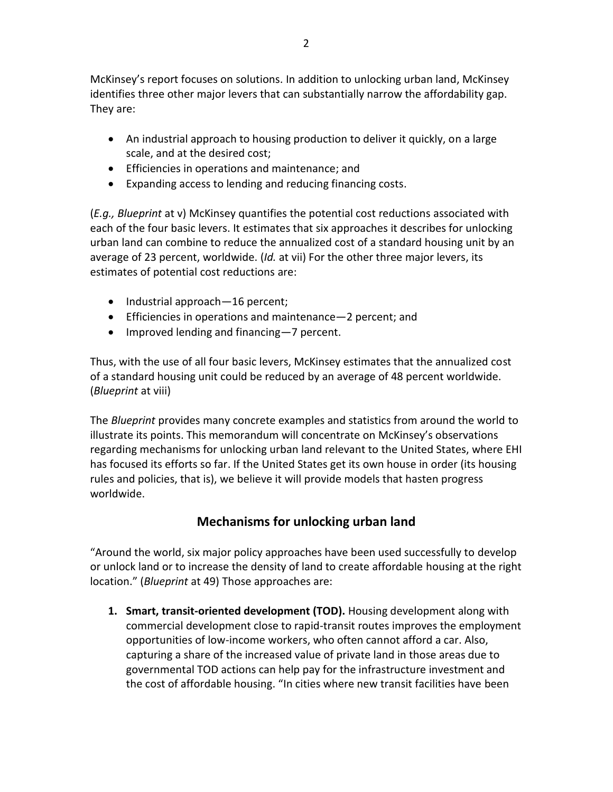McKinsey's report focuses on solutions. In addition to unlocking urban land, McKinsey identifies three other major levers that can substantially narrow the affordability gap. They are:

- An industrial approach to housing production to deliver it quickly, on a large scale, and at the desired cost;
- Efficiencies in operations and maintenance; and
- Expanding access to lending and reducing financing costs.

(*E.g., Blueprint* at v) McKinsey quantifies the potential cost reductions associated with each of the four basic levers. It estimates that six approaches it describes for unlocking urban land can combine to reduce the annualized cost of a standard housing unit by an average of 23 percent, worldwide. (*Id.* at vii) For the other three major levers, its estimates of potential cost reductions are:

- Industrial approach-16 percent;
- Efficiencies in operations and maintenance—2 percent; and
- Improved lending and financing 7 percent.

Thus, with the use of all four basic levers, McKinsey estimates that the annualized cost of a standard housing unit could be reduced by an average of 48 percent worldwide. (*Blueprint* at viii)

The *Blueprint* provides many concrete examples and statistics from around the world to illustrate its points. This memorandum will concentrate on McKinsey's observations regarding mechanisms for unlocking urban land relevant to the United States, where EHI has focused its efforts so far. If the United States get its own house in order (its housing rules and policies, that is), we believe it will provide models that hasten progress worldwide.

## **Mechanisms for unlocking urban land**

"Around the world, six major policy approaches have been used successfully to develop or unlock land or to increase the density of land to create affordable housing at the right location." (*Blueprint* at 49) Those approaches are:

**1. Smart, transit-oriented development (TOD).** Housing development along with commercial development close to rapid-transit routes improves the employment opportunities of low-income workers, who often cannot afford a car. Also, capturing a share of the increased value of private land in those areas due to governmental TOD actions can help pay for the infrastructure investment and the cost of affordable housing. "In cities where new transit facilities have been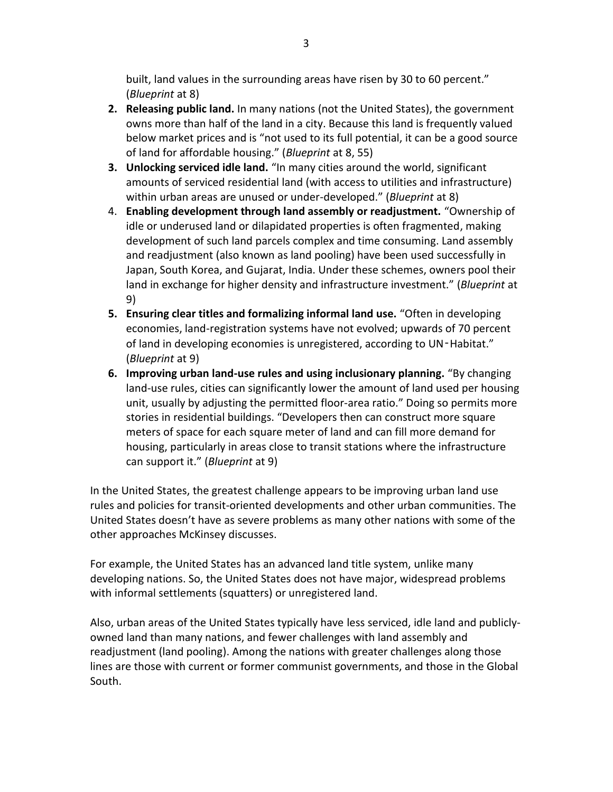built, land values in the surrounding areas have risen by 30 to 60 percent." (*Blueprint* at 8)

- **2. Releasing public land.** In many nations (not the United States), the government owns more than half of the land in a city. Because this land is frequently valued below market prices and is "not used to its full potential, it can be a good source of land for affordable housing." (*Blueprint* at 8, 55)
- **3. Unlocking serviced idle land.** "In many cities around the world, significant amounts of serviced residential land (with access to utilities and infrastructure) within urban areas are unused or under-developed." (*Blueprint* at 8)
- 4. **Enabling development through land assembly or readjustment.** "Ownership of idle or underused land or dilapidated properties is often fragmented, making development of such land parcels complex and time consuming. Land assembly and readjustment (also known as land pooling) have been used successfully in Japan, South Korea, and Gujarat, India. Under these schemes, owners pool their land in exchange for higher density and infrastructure investment." (*Blueprint* at 9)
- **5. Ensuring clear titles and formalizing informal land use.** "Often in developing economies, land-registration systems have not evolved; upwards of 70 percent of land in developing economies is unregistered, according to UN-Habitat." (*Blueprint* at 9)
- **6. Improving urban land-use rules and using inclusionary planning.** "By changing land-use rules, cities can significantly lower the amount of land used per housing unit, usually by adjusting the permitted floor-area ratio." Doing so permits more stories in residential buildings. "Developers then can construct more square meters of space for each square meter of land and can fill more demand for housing, particularly in areas close to transit stations where the infrastructure can support it." (*Blueprint* at 9)

In the United States, the greatest challenge appears to be improving urban land use rules and policies for transit-oriented developments and other urban communities. The United States doesn't have as severe problems as many other nations with some of the other approaches McKinsey discusses.

For example, the United States has an advanced land title system, unlike many developing nations. So, the United States does not have major, widespread problems with informal settlements (squatters) or unregistered land.

Also, urban areas of the United States typically have less serviced, idle land and publiclyowned land than many nations, and fewer challenges with land assembly and readjustment (land pooling). Among the nations with greater challenges along those lines are those with current or former communist governments, and those in the Global South.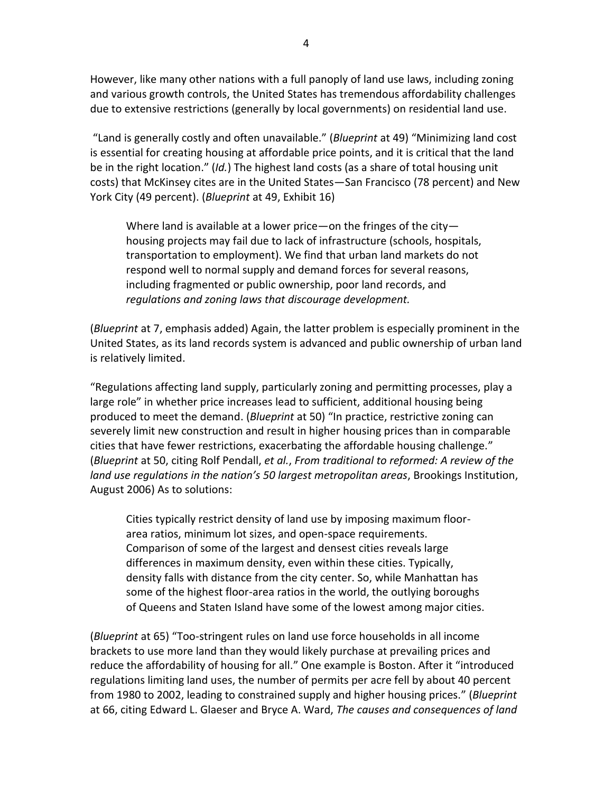However, like many other nations with a full panoply of land use laws, including zoning and various growth controls, the United States has tremendous affordability challenges due to extensive restrictions (generally by local governments) on residential land use.

"Land is generally costly and often unavailable." (*Blueprint* at 49) "Minimizing land cost is essential for creating housing at affordable price points, and it is critical that the land be in the right location." (*Id.*) The highest land costs (as a share of total housing unit costs) that McKinsey cites are in the United States—San Francisco (78 percent) and New York City (49 percent). (*Blueprint* at 49, Exhibit 16)

Where land is available at a lower price—on the fringes of the city housing projects may fail due to lack of infrastructure (schools, hospitals, transportation to employment). We find that urban land markets do not respond well to normal supply and demand forces for several reasons, including fragmented or public ownership, poor land records, and *regulations and zoning laws that discourage development.*

(*Blueprint* at 7, emphasis added) Again, the latter problem is especially prominent in the United States, as its land records system is advanced and public ownership of urban land is relatively limited.

"Regulations affecting land supply, particularly zoning and permitting processes, play a large role" in whether price increases lead to sufficient, additional housing being produced to meet the demand. (*Blueprint* at 50) "In practice, restrictive zoning can severely limit new construction and result in higher housing prices than in comparable cities that have fewer restrictions, exacerbating the affordable housing challenge." (*Blueprint* at 50, citing Rolf Pendall, *et al.*, *From traditional to reformed: A review of the land use regulations in the nation's 50 largest metropolitan areas*, Brookings Institution, August 2006) As to solutions:

Cities typically restrict density of land use by imposing maximum floorarea ratios, minimum lot sizes, and open-space requirements. Comparison of some of the largest and densest cities reveals large differences in maximum density, even within these cities. Typically, density falls with distance from the city center. So, while Manhattan has some of the highest floor-area ratios in the world, the outlying boroughs of Queens and Staten Island have some of the lowest among major cities.

(*Blueprint* at 65) "Too-stringent rules on land use force households in all income brackets to use more land than they would likely purchase at prevailing prices and reduce the affordability of housing for all." One example is Boston. After it "introduced regulations limiting land uses, the number of permits per acre fell by about 40 percent from 1980 to 2002, leading to constrained supply and higher housing prices." (*Blueprint*  at 66, citing Edward L. Glaeser and Bryce A. Ward, *The causes and consequences of land*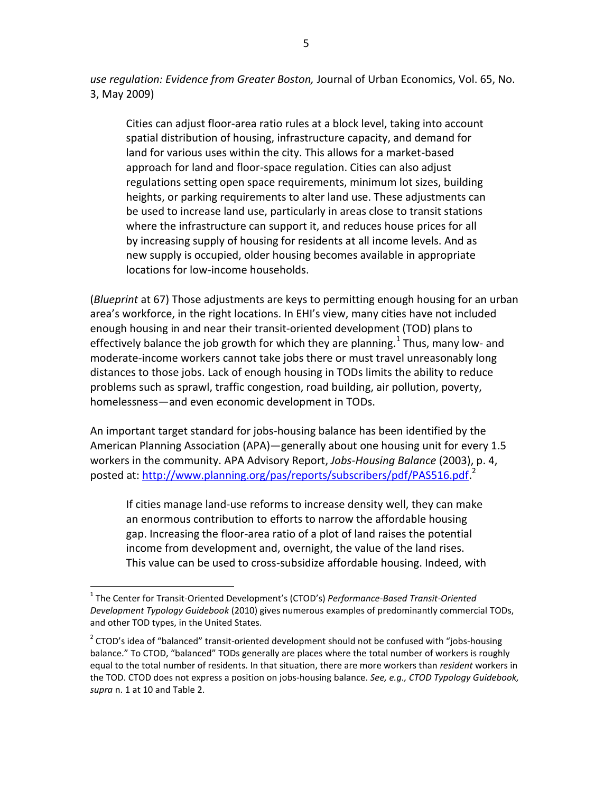*use regulation: Evidence from Greater Boston,* Journal of Urban Economics, Vol. 65, No. 3, May 2009)

Cities can adjust floor-area ratio rules at a block level, taking into account spatial distribution of housing, infrastructure capacity, and demand for land for various uses within the city. This allows for a market-based approach for land and floor-space regulation. Cities can also adjust regulations setting open space requirements, minimum lot sizes, building heights, or parking requirements to alter land use. These adjustments can be used to increase land use, particularly in areas close to transit stations where the infrastructure can support it, and reduces house prices for all by increasing supply of housing for residents at all income levels. And as new supply is occupied, older housing becomes available in appropriate locations for low-income households.

(*Blueprint* at 67) Those adjustments are keys to permitting enough housing for an urban area's workforce, in the right locations. In EHI's view, many cities have not included enough housing in and near their transit-oriented development (TOD) plans to effectively balance the job growth for which they are planning.<sup>1</sup> Thus, many low- and moderate-income workers cannot take jobs there or must travel unreasonably long distances to those jobs. Lack of enough housing in TODs limits the ability to reduce problems such as sprawl, traffic congestion, road building, air pollution, poverty, homelessness—and even economic development in TODs.

An important target standard for jobs-housing balance has been identified by the American Planning Association (APA)—generally about one housing unit for every 1.5 workers in the community. APA Advisory Report, *Jobs-Housing Balance* (2003), p. 4, posted at: [http://www.planning.org/pas/reports/subscribers/pdf/PAS516.pdf.](http://www.planning.org/pas/reports/subscribers/pdf/PAS516.pdf)<sup>2</sup>

If cities manage land-use reforms to increase density well, they can make an enormous contribution to efforts to narrow the affordable housing gap. Increasing the floor-area ratio of a plot of land raises the potential income from development and, overnight, the value of the land rises. This value can be used to cross-subsidize affordable housing. Indeed, with

 $\overline{a}$ 

<sup>1</sup> The Center for Transit-Oriented Development's (CTOD's) *Performance-Based Transit-Oriented Development Typology Guidebook* (2010) gives numerous examples of predominantly commercial TODs, and other TOD types, in the United States.

 $2$  CTOD's idea of "balanced" transit-oriented development should not be confused with "jobs-housing balance." To CTOD, "balanced" TODs generally are places where the total number of workers is roughly equal to the total number of residents. In that situation, there are more workers than *resident* workers in the TOD. CTOD does not express a position on jobs-housing balance. *See, e.g., CTOD Typology Guidebook, supra* n. 1 at 10 and Table 2.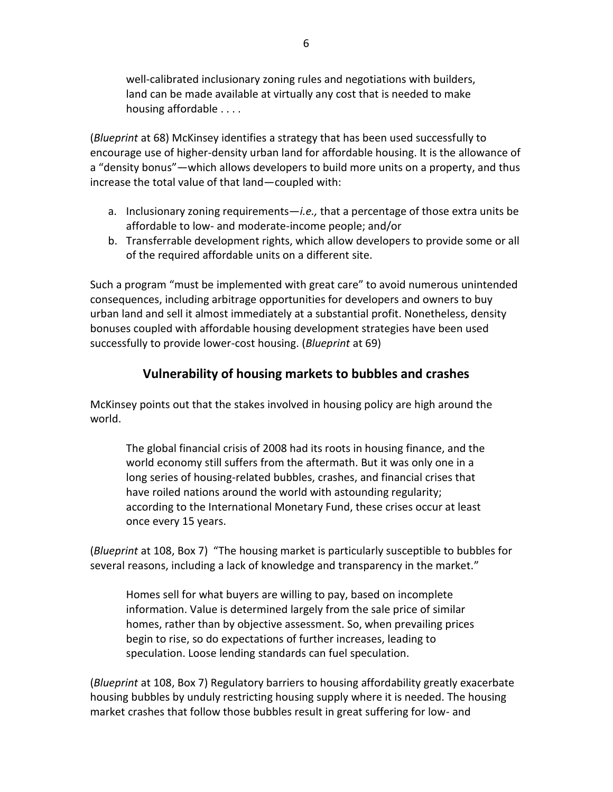well-calibrated inclusionary zoning rules and negotiations with builders, land can be made available at virtually any cost that is needed to make housing affordable . . . .

(*Blueprint* at 68) McKinsey identifies a strategy that has been used successfully to encourage use of higher-density urban land for affordable housing. It is the allowance of a "density bonus"—which allows developers to build more units on a property, and thus increase the total value of that land—coupled with:

- a. Inclusionary zoning requirements—*i.e.,* that a percentage of those extra units be affordable to low- and moderate-income people; and/or
- b. Transferrable development rights, which allow developers to provide some or all of the required affordable units on a different site.

Such a program "must be implemented with great care" to avoid numerous unintended consequences, including arbitrage opportunities for developers and owners to buy urban land and sell it almost immediately at a substantial profit. Nonetheless, density bonuses coupled with affordable housing development strategies have been used successfully to provide lower-cost housing. (*Blueprint* at 69)

#### **Vulnerability of housing markets to bubbles and crashes**

McKinsey points out that the stakes involved in housing policy are high around the world.

The global financial crisis of 2008 had its roots in housing finance, and the world economy still suffers from the aftermath. But it was only one in a long series of housing-related bubbles, crashes, and financial crises that have roiled nations around the world with astounding regularity; according to the International Monetary Fund, these crises occur at least once every 15 years.

(*Blueprint* at 108, Box 7) "The housing market is particularly susceptible to bubbles for several reasons, including a lack of knowledge and transparency in the market."

Homes sell for what buyers are willing to pay, based on incomplete information. Value is determined largely from the sale price of similar homes, rather than by objective assessment. So, when prevailing prices begin to rise, so do expectations of further increases, leading to speculation. Loose lending standards can fuel speculation.

(*Blueprint* at 108, Box 7) Regulatory barriers to housing affordability greatly exacerbate housing bubbles by unduly restricting housing supply where it is needed. The housing market crashes that follow those bubbles result in great suffering for low- and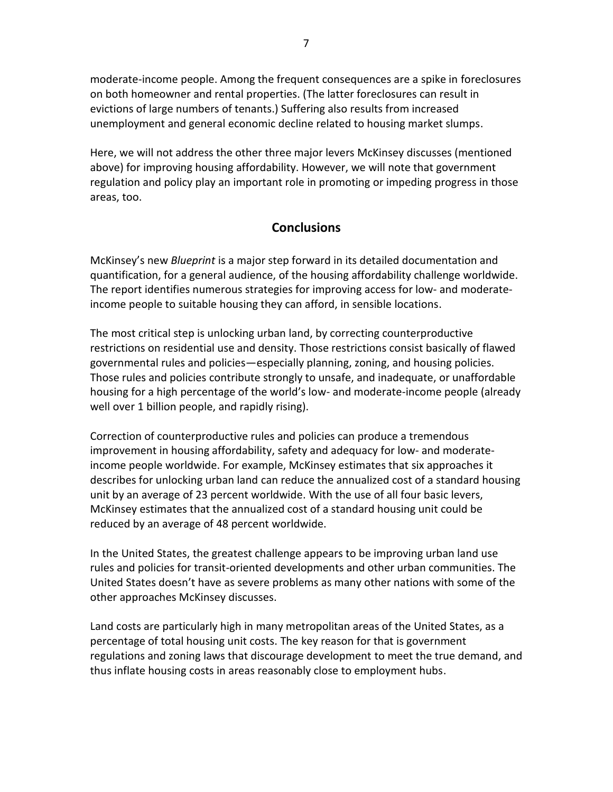moderate-income people. Among the frequent consequences are a spike in foreclosures on both homeowner and rental properties. (The latter foreclosures can result in evictions of large numbers of tenants.) Suffering also results from increased unemployment and general economic decline related to housing market slumps.

Here, we will not address the other three major levers McKinsey discusses (mentioned above) for improving housing affordability. However, we will note that government regulation and policy play an important role in promoting or impeding progress in those areas, too.

#### **Conclusions**

McKinsey's new *Blueprint* is a major step forward in its detailed documentation and quantification, for a general audience, of the housing affordability challenge worldwide. The report identifies numerous strategies for improving access for low- and moderateincome people to suitable housing they can afford, in sensible locations.

The most critical step is unlocking urban land, by correcting counterproductive restrictions on residential use and density. Those restrictions consist basically of flawed governmental rules and policies—especially planning, zoning, and housing policies. Those rules and policies contribute strongly to unsafe, and inadequate, or unaffordable housing for a high percentage of the world's low- and moderate-income people (already well over 1 billion people, and rapidly rising).

Correction of counterproductive rules and policies can produce a tremendous improvement in housing affordability, safety and adequacy for low- and moderateincome people worldwide. For example, McKinsey estimates that six approaches it describes for unlocking urban land can reduce the annualized cost of a standard housing unit by an average of 23 percent worldwide. With the use of all four basic levers, McKinsey estimates that the annualized cost of a standard housing unit could be reduced by an average of 48 percent worldwide.

In the United States, the greatest challenge appears to be improving urban land use rules and policies for transit-oriented developments and other urban communities. The United States doesn't have as severe problems as many other nations with some of the other approaches McKinsey discusses.

Land costs are particularly high in many metropolitan areas of the United States, as a percentage of total housing unit costs. The key reason for that is government regulations and zoning laws that discourage development to meet the true demand, and thus inflate housing costs in areas reasonably close to employment hubs.